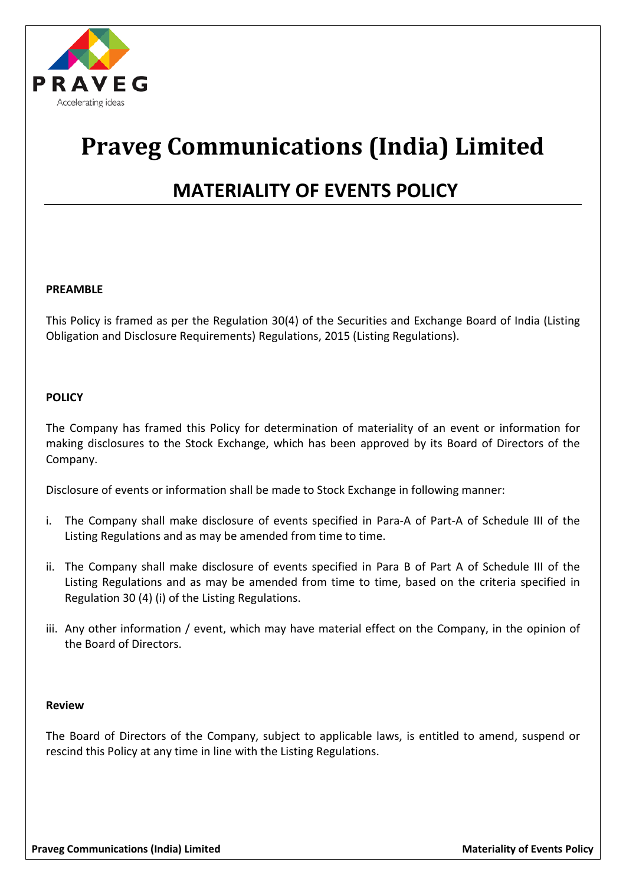

# **Praveg Communications (India) Limited**

## **MATERIALITY OF EVENTS POLICY**

#### **PREAMBLE**

This Policy is framed as per the Regulation 30(4) of the Securities and Exchange Board of India (Listing Obligation and Disclosure Requirements) Regulations, 2015 (Listing Regulations).

#### **POLICY**

The Company has framed this Policy for determination of materiality of an event or information for making disclosures to the Stock Exchange, which has been approved by its Board of Directors of the Company.

Disclosure of events or information shall be made to Stock Exchange in following manner:

- i. The Company shall make disclosure of events specified in Para-A of Part-A of Schedule III of the Listing Regulations and as may be amended from time to time.
- ii. The Company shall make disclosure of events specified in Para B of Part A of Schedule III of the Listing Regulations and as may be amended from time to time, based on the criteria specified in Regulation 30 (4) (i) of the Listing Regulations.
- iii. Any other information / event, which may have material effect on the Company, in the opinion of the Board of Directors.

#### **Review**

The Board of Directors of the Company, subject to applicable laws, is entitled to amend, suspend or rescind this Policy at any time in line with the Listing Regulations.